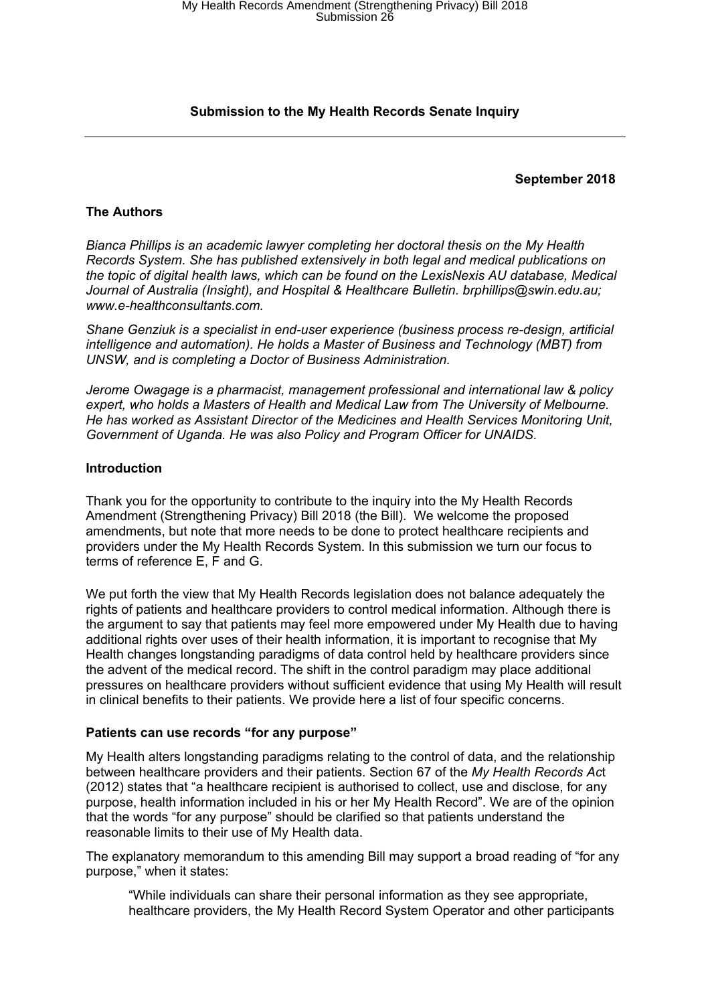# **Submission to the My Health Records Senate Inquiry**

### **September 2018**

# **The Authors**

*Bianca Phillips is an academic lawyer completing her doctoral thesis on the My Health Records System. She has published extensively in both legal and medical publications on the topic of digital health laws, which can be found on the LexisNexis AU database, Medical Journal of Australia (Insight), and Hospital & Healthcare Bulletin. brphillips@swin.edu.au; [www.e-healthconsultants.com](http://www.e-healthconsultants.com/).*

*Shane Genziuk is a specialist in end-user experience (business process re-design, artificial intelligence and automation). He holds a Master of Business and Technology (MBT) from UNSW, and is completing a Doctor of Business Administration.*

*Jerome Owagage is a pharmacist, management professional and international law & policy expert, who holds a Masters of Health and Medical Law from The University of Melbourne. He has worked as Assistant Director of the Medicines and Health Services Monitoring Unit, Government of Uganda. He was also Policy and Program Officer for UNAIDS.*

### **Introduction**

Thank you for the opportunity to contribute to the inquiry into the My Health Records Amendment (Strengthening Privacy) Bill 2018 (the Bill). We welcome the proposed amendments, but note that more needs to be done to protect healthcare recipients and providers under the My Health Records System. In this submission we turn our focus to terms of reference E, F and G.

We put forth the view that My Health Records legislation does not balance adequately the rights of patients and healthcare providers to control medical information. Although there is the argument to say that patients may feel more empowered under My Health due to having additional rights over uses of their health information, it is important to recognise that My Health changes longstanding paradigms of data control held by healthcare providers since the advent of the medical record. The shift in the control paradigm may place additional pressures on healthcare providers without sufficient evidence that using My Health will result in clinical benefits to their patients. We provide here a list of four specific concerns.

#### **Patients can use records "for any purpose"**

My Health alters longstanding paradigms relating to the control of data, and the relationship between healthcare providers and their patients. Section 67 of the *My Health Records Ac*t (2012) states that "a healthcare recipient is authorised to collect, use and disclose, for any purpose, health information included in his or her My Health Record". We are of the opinion that the words "for any purpose" should be clarified so that patients understand the reasonable limits to their use of My Health data.

The explanatory memorandum to this amending Bill may support a broad reading of "for any purpose," when it states:

"While individuals can share their personal information as they see appropriate, healthcare providers, the My Health Record System Operator and other participants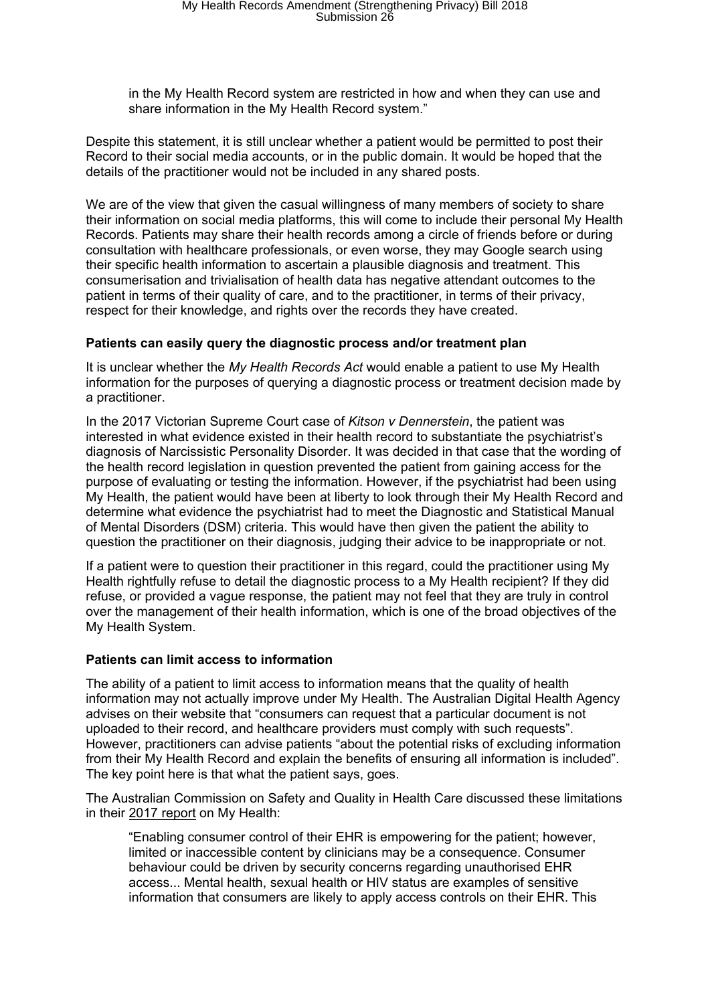in the My Health Record system are restricted in how and when they can use and share information in the My Health Record system."

Despite this statement, it is still unclear whether a patient would be permitted to post their Record to their social media accounts, or in the public domain. It would be hoped that the details of the practitioner would not be included in any shared posts.

We are of the view that given the casual willingness of many members of society to share their information on social media platforms, this will come to include their personal My Health Records. Patients may share their health records among a circle of friends before or during consultation with healthcare professionals, or even worse, they may Google search using their specific health information to ascertain a plausible diagnosis and treatment. This consumerisation and trivialisation of health data has negative attendant outcomes to the patient in terms of their quality of care, and to the practitioner, in terms of their privacy, respect for their knowledge, and rights over the records they have created.

## **Patients can easily query the diagnostic process and/or treatment plan**

It is unclear whether the *My Health Records Act* would enable a patient to use My Health information for the purposes of querying a diagnostic process or treatment decision made by a practitioner.

In the 2017 Victorian Supreme Court case of *Kitson v Dennerstein*, the patient was interested in what evidence existed in their health record to substantiate the psychiatrist's diagnosis of Narcissistic Personality Disorder. It was decided in that case that the wording of the health record legislation in question prevented the patient from gaining access for the purpose of evaluating or testing the information. However, if the psychiatrist had been using My Health, the patient would have been at liberty to look through their My Health Record and determine what evidence the psychiatrist had to meet the Diagnostic and Statistical Manual of Mental Disorders (DSM) criteria. This would have then given the patient the ability to question the practitioner on their diagnosis, judging their advice to be inappropriate or not.

If a patient were to question their practitioner in this regard, could the practitioner using My Health rightfully refuse to detail the diagnostic process to a My Health recipient? If they did refuse, or provided a vague response, the patient may not feel that they are truly in control over the management of their health information, which is one of the broad objectives of the My Health System.

#### **Patients can limit access to information**

The ability of a patient to limit access to information means that the quality of health information may not actually improve under My Health. The Australian Digital Health Agency advises on their website that "consumers can request that a particular document is not uploaded to their record, and healthcare providers must comply with such requests". However, practitioners can advise patients "about the potential risks of excluding information from their My Health Record and explain the benefits of ensuring all information is included". The key point here is that what the patient says, goes.

The Australian Commission on Safety and Quality in Health Care discussed these limitations in their 2017 [report](https://www.safetyandquality.gov.au/wp-content/uploads/2018/02/My-Health-Record-in-Emergency-Departments-Literature-Review-and-Environm....pdf) on My Health:

"Enabling consumer control of their EHR is empowering for the patient; however, limited or inaccessible content by clinicians may be a consequence. Consumer behaviour could be driven by security concerns regarding unauthorised EHR access... Mental health, sexual health or HIV status are examples of sensitive information that consumers are likely to apply access controls on their EHR. This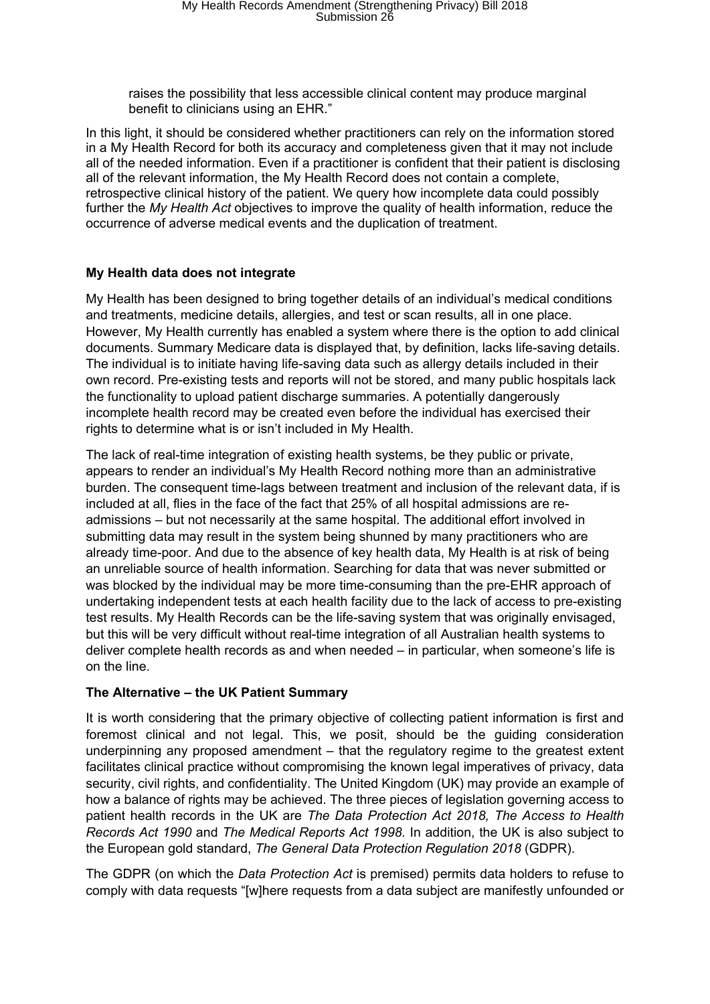raises the possibility that less accessible clinical content may produce marginal benefit to clinicians using an EHR."

In this light, it should be considered whether practitioners can rely on the information stored in a My Health Record for both its accuracy and completeness given that it may not include all of the needed information. Even if a practitioner is confident that their patient is disclosing all of the relevant information, the My Health Record does not contain a complete, retrospective clinical history of the patient. We query how incomplete data could possibly further the *My Health Act* objectives to improve the quality of health information, reduce the occurrence of adverse medical events and the duplication of treatment.

# **My Health data does not integrate**

My Health has been designed to bring together details of an individual's medical conditions and treatments, medicine details, allergies, and test or scan results, all in one place. However, My Health currently has enabled a system where there is the option to add clinical documents. Summary Medicare data is displayed that, by definition, lacks life-saving details. The individual is to initiate having life-saving data such as allergy details included in their own record. Pre-existing tests and reports will not be stored, and many public hospitals lack the functionality to upload patient discharge summaries. A potentially dangerously incomplete health record may be created even before the individual has exercised their rights to determine what is or isn't included in My Health.

The lack of real-time integration of existing health systems, be they public or private, appears to render an individual's My Health Record nothing more than an administrative burden. The consequent time-lags between treatment and inclusion of the relevant data, if is included at all, flies in the face of the fact that 25% of all hospital admissions are readmissions – but not necessarily at the same hospital. The additional effort involved in submitting data may result in the system being shunned by many practitioners who are already time-poor. And due to the absence of key health data, My Health is at risk of being an unreliable source of health information. Searching for data that was never submitted or was blocked by the individual may be more time-consuming than the pre-EHR approach of undertaking independent tests at each health facility due to the lack of access to pre-existing test results. My Health Records can be the life-saving system that was originally envisaged, but this will be very difficult without real-time integration of all Australian health systems to deliver complete health records as and when needed – in particular, when someone's life is on the line.

## **The Alternative – the UK Patient Summary**

It is worth considering that the primary objective of collecting patient information is first and foremost clinical and not legal. This, we posit, should be the guiding consideration underpinning any proposed amendment – that the regulatory regime to the greatest extent facilitates clinical practice without compromising the known legal imperatives of privacy, data security, civil rights, and confidentiality. The United Kingdom (UK) may provide an example of how a balance of rights may be achieved. The three pieces of legislation governing access to patient health records in the UK are *The Data Protection Act 2018, The Access to Health Records Act 1990* and *The Medical Reports Act 1998.* In addition, the UK is also subject to the European gold standard, *The General Data Protection Regulation 2018* (GDPR).

The GDPR (on which the *Data Protection Act* is premised) permits data holders to refuse to comply with data requests "[w]here requests from a data subject are manifestly unfounded or